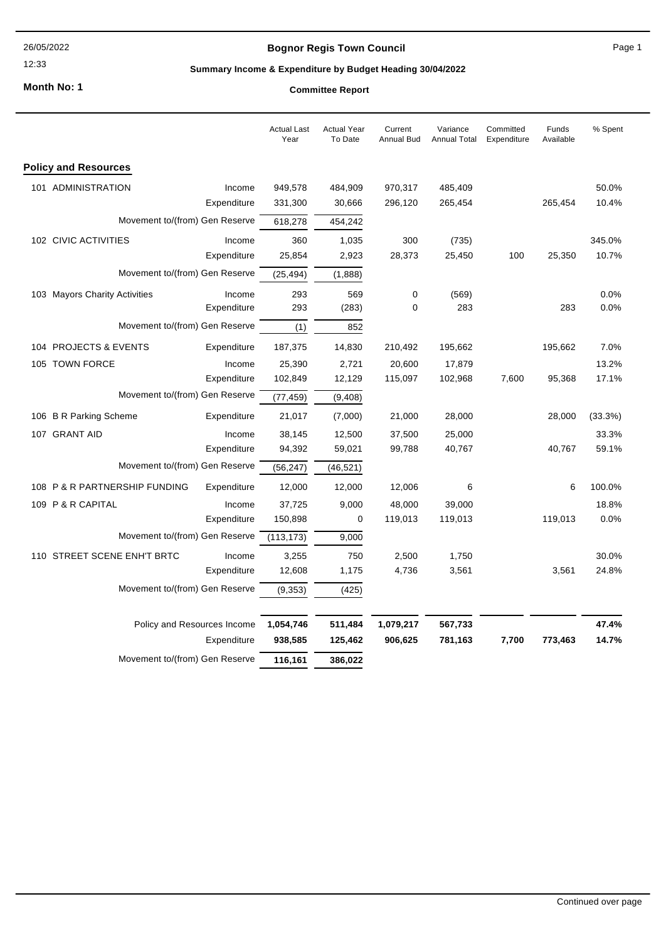# **Bognor Regis Town Council**

12:33

# **Summary Income & Expenditure by Budget Heading 30/04/2022**

**Month No: 1**

|                                              | <b>Actual Last</b><br>Year | <b>Actual Year</b><br>To Date | Current<br><b>Annual Bud</b> | Variance<br><b>Annual Total</b> | Committed<br>Expenditure | Funds<br>Available | % Spent |
|----------------------------------------------|----------------------------|-------------------------------|------------------------------|---------------------------------|--------------------------|--------------------|---------|
| <b>Policy and Resources</b>                  |                            |                               |                              |                                 |                          |                    |         |
| 101 ADMINISTRATION<br>Income                 | 949,578                    | 484,909                       | 970,317                      | 485,409                         |                          |                    | 50.0%   |
| Expenditure                                  | 331,300                    | 30,666                        | 296,120                      | 265,454                         |                          | 265,454            | 10.4%   |
| Movement to/(from) Gen Reserve               | 618,278                    | 454,242                       |                              |                                 |                          |                    |         |
| 102 CIVIC ACTIVITIES<br>Income               | 360                        | 1,035                         | 300                          | (735)                           |                          |                    | 345.0%  |
| Expenditure                                  | 25,854                     | 2,923                         | 28,373                       | 25,450                          | 100                      | 25,350             | 10.7%   |
| Movement to/(from) Gen Reserve               | (25, 494)                  | (1,888)                       |                              |                                 |                          |                    |         |
| 103 Mayors Charity Activities<br>Income      | 293                        | 569                           | 0                            | (569)                           |                          |                    | 0.0%    |
| Expenditure                                  | 293                        | (283)                         | 0                            | 283                             |                          | 283                | 0.0%    |
| Movement to/(from) Gen Reserve               | (1)                        | 852                           |                              |                                 |                          |                    |         |
| 104 PROJECTS & EVENTS<br>Expenditure         | 187,375                    | 14,830                        | 210,492                      | 195,662                         |                          | 195,662            | 7.0%    |
| 105 TOWN FORCE<br>Income                     | 25,390                     | 2,721                         | 20,600                       | 17,879                          |                          |                    | 13.2%   |
| Expenditure                                  | 102,849                    | 12,129                        | 115,097                      | 102,968                         | 7,600                    | 95,368             | 17.1%   |
| Movement to/(from) Gen Reserve               | (77, 459)                  | (9, 408)                      |                              |                                 |                          |                    |         |
| 106 B R Parking Scheme<br>Expenditure        | 21,017                     | (7,000)                       | 21,000                       | 28,000                          |                          | 28,000             | (33.3%) |
| 107 GRANT AID<br>Income                      | 38,145                     | 12,500                        | 37,500                       | 25,000                          |                          |                    | 33.3%   |
| Expenditure                                  | 94,392                     | 59,021                        | 99,788                       | 40,767                          |                          | 40,767             | 59.1%   |
| Movement to/(from) Gen Reserve               | (56, 247)                  | (46, 521)                     |                              |                                 |                          |                    |         |
| 108 P & R PARTNERSHIP FUNDING<br>Expenditure | 12,000                     | 12,000                        | 12,006                       | 6                               |                          | 6                  | 100.0%  |
| 109 P & R CAPITAL<br>Income                  | 37,725                     | 9,000                         | 48,000                       | 39,000                          |                          |                    | 18.8%   |
| Expenditure                                  | 150,898                    | 0                             | 119,013                      | 119,013                         |                          | 119,013            | 0.0%    |
| Movement to/(from) Gen Reserve               | (113, 173)                 | 9,000                         |                              |                                 |                          |                    |         |
| 110 STREET SCENE ENH'T BRTC<br>Income        | 3,255                      | 750                           | 2,500                        | 1,750                           |                          |                    | 30.0%   |
| Expenditure                                  | 12,608                     | 1,175                         | 4,736                        | 3,561                           |                          | 3,561              | 24.8%   |
| Movement to/(from) Gen Reserve               | (9, 353)                   | (425)                         |                              |                                 |                          |                    |         |
| Policy and Resources Income                  | 1,054,746                  | 511,484                       | 1,079,217                    | 567,733                         |                          |                    | 47.4%   |
| Expenditure                                  | 938,585                    | 125,462                       | 906,625                      | 781,163                         | 7,700                    | 773,463            | 14.7%   |
| Movement to/(from) Gen Reserve               | 116,161                    | 386,022                       |                              |                                 |                          |                    |         |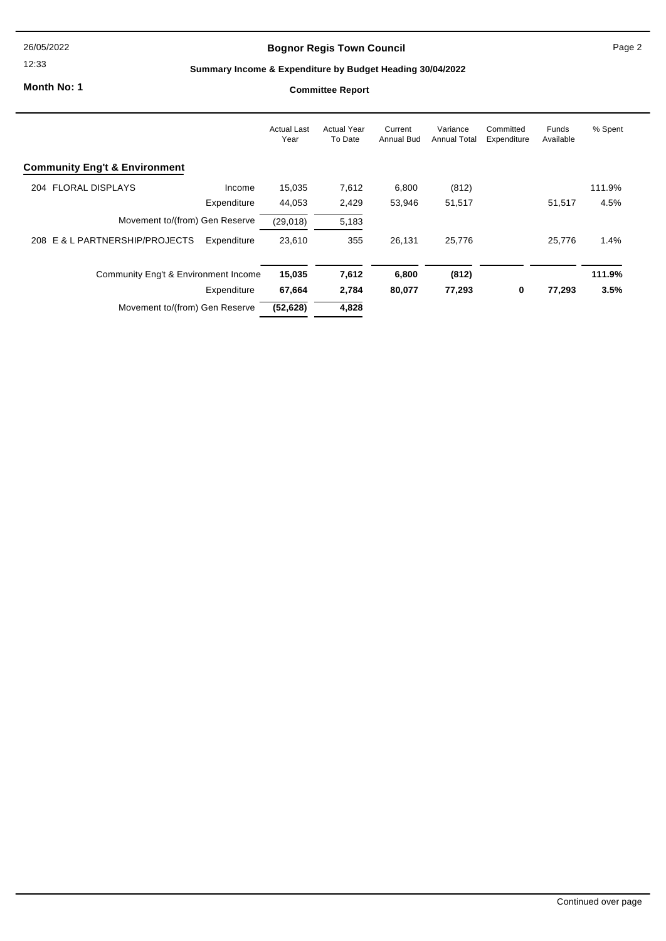# **Bognor Regis Town Council**

12:33

# **Summary Income & Expenditure by Budget Heading 30/04/2022**

**Month No: 1**

|                                          |             | <b>Actual Last</b><br>Year | <b>Actual Year</b><br>To Date | Current<br>Annual Bud | Variance<br><b>Annual Total</b> | Committed<br>Expenditure | Funds<br>Available | % Spent |
|------------------------------------------|-------------|----------------------------|-------------------------------|-----------------------|---------------------------------|--------------------------|--------------------|---------|
| <b>Community Eng't &amp; Environment</b> |             |                            |                               |                       |                                 |                          |                    |         |
| 204 FLORAL DISPLAYS                      | Income      | 15,035                     | 7,612                         | 6,800                 | (812)                           |                          |                    | 111.9%  |
|                                          | Expenditure | 44,053                     | 2,429                         | 53,946                | 51,517                          |                          | 51,517             | 4.5%    |
| Movement to/(from) Gen Reserve           |             | (29, 018)                  | 5,183                         |                       |                                 |                          |                    |         |
| 208 E & L PARTNERSHIP/PROJECTS           | Expenditure | 23,610                     | 355                           | 26.131                | 25,776                          |                          | 25.776             | 1.4%    |
| Community Eng't & Environment Income     |             | 15,035                     | 7,612                         | 6,800                 | (812)                           |                          |                    | 111.9%  |
|                                          | Expenditure | 67,664                     | 2,784                         | 80,077                | 77,293                          | 0                        | 77,293             | 3.5%    |
| Movement to/(from) Gen Reserve           |             | (52, 628)                  | 4,828                         |                       |                                 |                          |                    |         |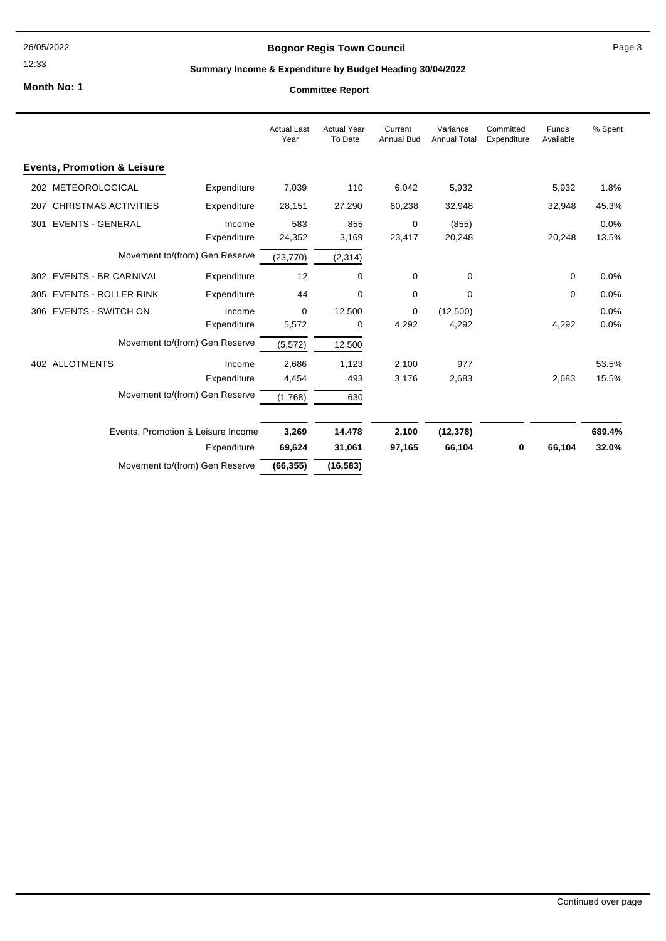12:33

# **Bognor Regis Town Council**

### Page 3

# **Summary Income & Expenditure by Budget Heading 30/04/2022**

**Month No: 1**

|     |                                        |                                    | <b>Actual Last</b><br>Year | <b>Actual Year</b><br>To Date | Current<br><b>Annual Bud</b> | Variance<br><b>Annual Total</b> | Committed<br>Expenditure | Funds<br>Available | % Spent       |
|-----|----------------------------------------|------------------------------------|----------------------------|-------------------------------|------------------------------|---------------------------------|--------------------------|--------------------|---------------|
|     | <b>Events, Promotion &amp; Leisure</b> |                                    |                            |                               |                              |                                 |                          |                    |               |
|     | 202 METEOROLOGICAL                     | Expenditure                        | 7,039                      | 110                           | 6,042                        | 5,932                           |                          | 5,932              | 1.8%          |
| 207 | <b>CHRISTMAS ACTIVITIES</b>            | Expenditure                        | 28,151                     | 27,290                        | 60,238                       | 32,948                          |                          | 32,948             | 45.3%         |
| 301 | <b>EVENTS - GENERAL</b>                | Income<br>Expenditure              | 583<br>24,352              | 855<br>3,169                  | 0<br>23,417                  | (855)<br>20,248                 |                          | 20,248             | 0.0%<br>13.5% |
|     |                                        | Movement to/(from) Gen Reserve     | (23, 770)                  | (2, 314)                      |                              |                                 |                          |                    |               |
|     | 302 EVENTS - BR CARNIVAL               | Expenditure                        | 12                         | 0                             | 0                            | $\Omega$                        |                          | 0                  | 0.0%          |
|     | 305 EVENTS - ROLLER RINK               | Expenditure                        | 44                         | $\mathbf 0$                   | 0                            | $\Omega$                        |                          | 0                  | 0.0%          |
|     | 306 EVENTS - SWITCH ON                 | Income<br>Expenditure              | 0<br>5,572                 | 12,500<br>0                   | 0<br>4,292                   | (12,500)<br>4,292               |                          | 4,292              | 0.0%<br>0.0%  |
|     |                                        | Movement to/(from) Gen Reserve     | (5, 572)                   | 12,500                        |                              |                                 |                          |                    |               |
|     | 402 ALLOTMENTS                         | Income                             | 2,686                      | 1,123                         | 2,100                        | 977                             |                          |                    | 53.5%         |
|     |                                        | Expenditure                        | 4,454                      | 493                           | 3,176                        | 2,683                           |                          | 2,683              | 15.5%         |
|     |                                        | Movement to/(from) Gen Reserve     | (1,768)                    | 630                           |                              |                                 |                          |                    |               |
|     |                                        | Events, Promotion & Leisure Income | 3,269                      | 14,478                        | 2,100                        | (12, 378)                       |                          |                    | 689.4%        |
|     |                                        | Expenditure                        | 69,624                     | 31,061                        | 97,165                       | 66,104                          | 0                        | 66,104             | 32.0%         |
|     |                                        | Movement to/(from) Gen Reserve     | (66, 355)                  | (16, 583)                     |                              |                                 |                          |                    |               |